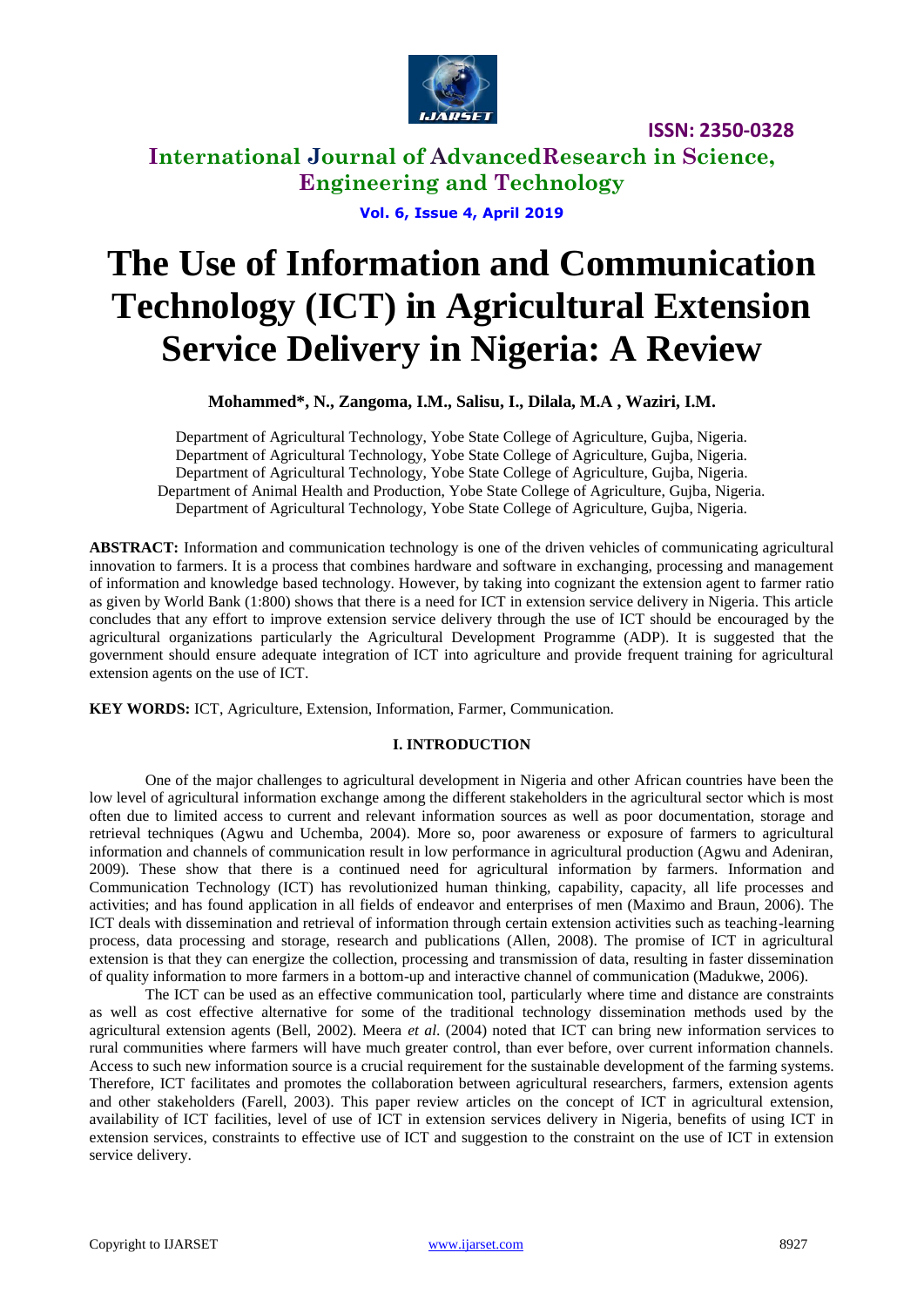

**International Journal of AdvancedResearch in Science, Engineering and Technology**

**Vol. 6, Issue 4, April 2019**

# **The Use of Information and Communication Technology (ICT) in Agricultural Extension Service Delivery in Nigeria: A Review**

**Mohammed\*, N., Zangoma, I.M., Salisu, I., Dilala, M.A , Waziri, I.M.**

Department of Agricultural Technology, Yobe State College of Agriculture, Gujba, Nigeria. Department of Agricultural Technology, Yobe State College of Agriculture, Gujba, Nigeria. Department of Agricultural Technology, Yobe State College of Agriculture, Gujba, Nigeria. Department of Animal Health and Production, Yobe State College of Agriculture, Gujba, Nigeria. Department of Agricultural Technology, Yobe State College of Agriculture, Gujba, Nigeria.

**ABSTRACT:** Information and communication technology is one of the driven vehicles of communicating agricultural innovation to farmers. It is a process that combines hardware and software in exchanging, processing and management of information and knowledge based technology. However, by taking into cognizant the extension agent to farmer ratio as given by World Bank (1:800) shows that there is a need for ICT in extension service delivery in Nigeria. This article concludes that any effort to improve extension service delivery through the use of ICT should be encouraged by the agricultural organizations particularly the Agricultural Development Programme (ADP). It is suggested that the government should ensure adequate integration of ICT into agriculture and provide frequent training for agricultural extension agents on the use of ICT.

**KEY WORDS:** ICT, Agriculture, Extension, Information, Farmer, Communication.

# **I. INTRODUCTION**

One of the major challenges to agricultural development in Nigeria and other African countries have been the low level of agricultural information exchange among the different stakeholders in the agricultural sector which is most often due to limited access to current and relevant information sources as well as poor documentation, storage and retrieval techniques (Agwu and Uchemba, 2004). More so, poor awareness or exposure of farmers to agricultural information and channels of communication result in low performance in agricultural production (Agwu and Adeniran, 2009). These show that there is a continued need for agricultural information by farmers. Information and Communication Technology (ICT) has revolutionized human thinking, capability, capacity, all life processes and activities; and has found application in all fields of endeavor and enterprises of men (Maximo and Braun, 2006). The ICT deals with dissemination and retrieval of information through certain extension activities such as teaching-learning process, data processing and storage, research and publications (Allen, 2008). The promise of ICT in agricultural extension is that they can energize the collection, processing and transmission of data, resulting in faster dissemination of quality information to more farmers in a bottom-up and interactive channel of communication (Madukwe, 2006).

The ICT can be used as an effective communication tool, particularly where time and distance are constraints as well as cost effective alternative for some of the traditional technology dissemination methods used by the agricultural extension agents (Bell, 2002). Meera *et al*. (2004) noted that ICT can bring new information services to rural communities where farmers will have much greater control, than ever before, over current information channels. Access to such new information source is a crucial requirement for the sustainable development of the farming systems. Therefore, ICT facilitates and promotes the collaboration between agricultural researchers, farmers, extension agents and other stakeholders (Farell, 2003). This paper review articles on the concept of ICT in agricultural extension, availability of ICT facilities, level of use of ICT in extension services delivery in Nigeria, benefits of using ICT in extension services, constraints to effective use of ICT and suggestion to the constraint on the use of ICT in extension service delivery.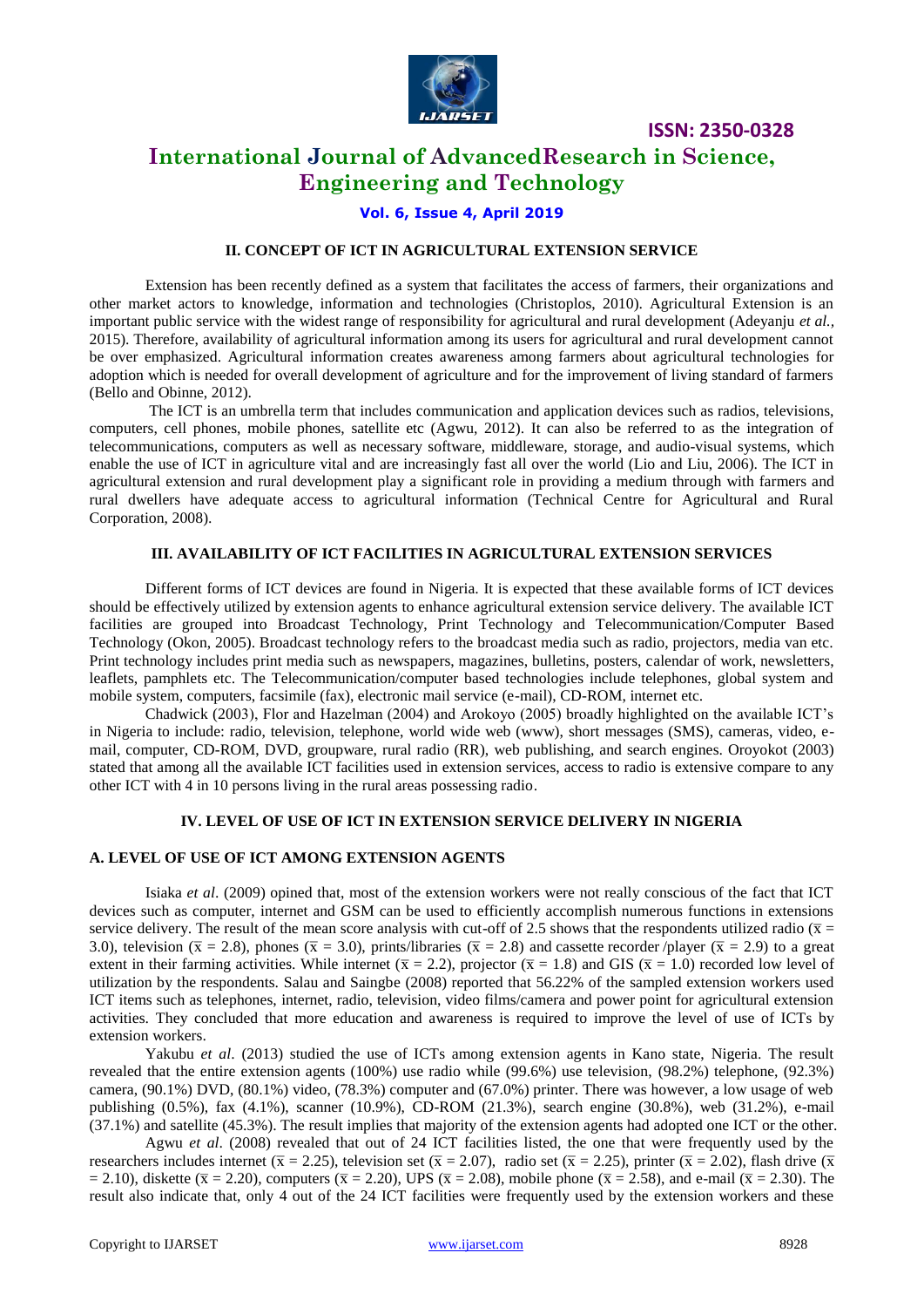

# **International Journal of AdvancedResearch in Science, Engineering and Technology**

### **Vol. 6, Issue 4, April 2019**

### **II. CONCEPT OF ICT IN AGRICULTURAL EXTENSION SERVICE**

Extension has been recently defined as a system that facilitates the access of farmers, their organizations and other market actors to knowledge, information and technologies (Christoplos, 2010). Agricultural Extension is an important public service with the widest range of responsibility for agricultural and rural development (Adeyanju *et al.,* 2015). Therefore, availability of agricultural information among its users for agricultural and rural development cannot be over emphasized. Agricultural information creates awareness among farmers about agricultural technologies for adoption which is needed for overall development of agriculture and for the improvement of living standard of farmers (Bello and Obinne, 2012).

The ICT is an umbrella term that includes communication and application devices such as radios, televisions, computers, cell phones, mobile phones, satellite etc (Agwu, 2012). It can also be referred to as the integration of telecommunications, computers as well as necessary software, middleware, storage, and audio-visual systems, which enable the use of ICT in agriculture vital and are increasingly fast all over the world (Lio and Liu, 2006). The ICT in agricultural extension and rural development play a significant role in providing a medium through with farmers and rural dwellers have adequate access to agricultural information (Technical Centre for Agricultural and Rural Corporation, 2008).

### **III. AVAILABILITY OF ICT FACILITIES IN AGRICULTURAL EXTENSION SERVICES**

Different forms of ICT devices are found in Nigeria. It is expected that these available forms of ICT devices should be effectively utilized by extension agents to enhance agricultural extension service delivery. The available ICT facilities are grouped into Broadcast Technology, Print Technology and Telecommunication/Computer Based Technology (Okon, 2005). Broadcast technology refers to the broadcast media such as radio, projectors, media van etc. Print technology includes print media such as newspapers, magazines, bulletins, posters, calendar of work, newsletters, leaflets, pamphlets etc. The Telecommunication/computer based technologies include telephones, global system and mobile system, computers, facsimile (fax), electronic mail service (e-mail), CD-ROM, internet etc.

Chadwick (2003), Flor and Hazelman (2004) and Arokoyo (2005) broadly highlighted on the available ICT"s in Nigeria to include: radio, television, telephone, world wide web (www), short messages (SMS), cameras, video, email, computer, CD-ROM, DVD, groupware, rural radio (RR), web publishing, and search engines. Oroyokot (2003) stated that among all the available ICT facilities used in extension services, access to radio is extensive compare to any other ICT with 4 in 10 persons living in the rural areas possessing radio.

#### **IV. LEVEL OF USE OF ICT IN EXTENSION SERVICE DELIVERY IN NIGERIA**

### **A. LEVEL OF USE OF ICT AMONG EXTENSION AGENTS**

Isiaka *et al*. (2009) opined that, most of the extension workers were not really conscious of the fact that ICT devices such as computer, internet and GSM can be used to efficiently accomplish numerous functions in extensions service delivery. The result of the mean score analysis with cut-off of 2.5 shows that the respondents utilized radio ( $\bar{x}$  = 3.0), television ( $\bar{x} = 2.8$ ), phones ( $\bar{x} = 3.0$ ), prints/libraries ( $\bar{x} = 2.8$ ) and cassette recorder/player ( $\bar{x} = 2.9$ ) to a great extent in their farming activities. While internet ( $\bar{x} = 2.2$ ), projector ( $\bar{x} = 1.8$ ) and GIS ( $\bar{x} = 1.0$ ) recorded low level of utilization by the respondents. Salau and Saingbe (2008) reported that 56.22% of the sampled extension workers used ICT items such as telephones, internet, radio, television, video films/camera and power point for agricultural extension activities. They concluded that more education and awareness is required to improve the level of use of ICTs by extension workers.

Yakubu *et al*. (2013) studied the use of ICTs among extension agents in Kano state, Nigeria. The result revealed that the entire extension agents (100%) use radio while (99.6%) use television, (98.2%) telephone, (92.3%) camera, (90.1%) DVD, (80.1%) video, (78.3%) computer and (67.0%) printer. There was however, a low usage of web publishing (0.5%), fax (4.1%), scanner (10.9%), CD-ROM (21.3%), search engine (30.8%), web (31.2%), e-mail (37.1%) and satellite (45.3%). The result implies that majority of the extension agents had adopted one ICT or the other.

Agwu *et al*. (2008) revealed that out of 24 ICT facilities listed, the one that were frequently used by the researchers includes internet ( $\bar{x} = 2.25$ ), television set ( $\bar{x} = 2.07$ ), radio set ( $\bar{x} = 2.25$ ), printer ( $\bar{x} = 2.02$ ), flash drive ( $\bar{x}$ )  $= 2.10$ ), diskette ( $\bar{x} = 2.20$ ), computers ( $\bar{x} = 2.20$ ), UPS ( $\bar{x} = 2.08$ ), mobile phone ( $\bar{x} = 2.58$ ), and e-mail ( $\bar{x} = 2.30$ ). The result also indicate that, only 4 out of the 24 ICT facilities were frequently used by the extension workers and these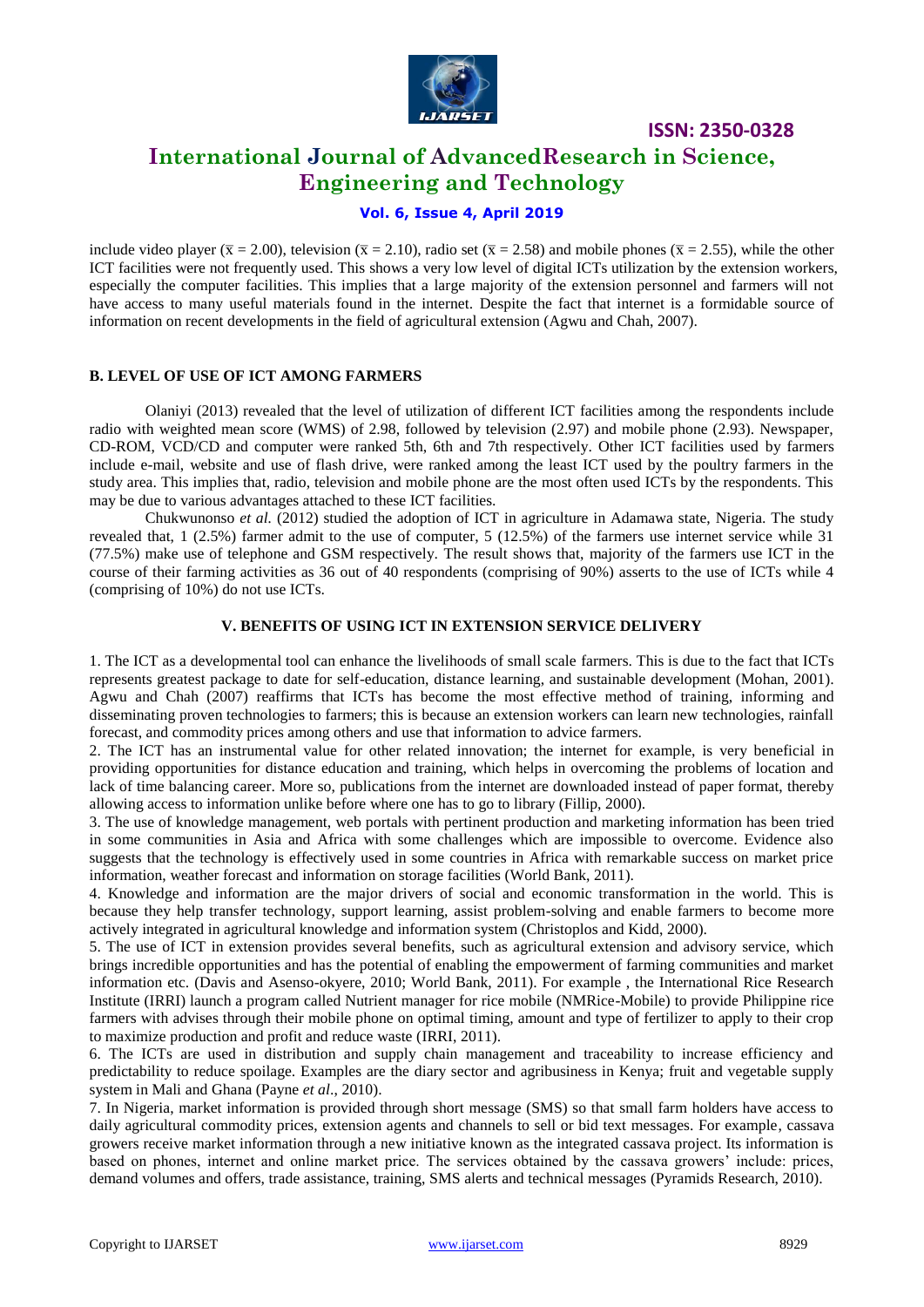

# **International Journal of AdvancedResearch in Science, Engineering and Technology**

# **Vol. 6, Issue 4, April 2019**

include video player ( $\bar{x} = 2.00$ ), television ( $\bar{x} = 2.10$ ), radio set ( $\bar{x} = 2.58$ ) and mobile phones ( $\bar{x} = 2.55$ ), while the other ICT facilities were not frequently used. This shows a very low level of digital ICTs utilization by the extension workers, especially the computer facilities. This implies that a large majority of the extension personnel and farmers will not have access to many useful materials found in the internet. Despite the fact that internet is a formidable source of information on recent developments in the field of agricultural extension (Agwu and Chah, 2007).

### **B. LEVEL OF USE OF ICT AMONG FARMERS**

Olaniyi (2013) revealed that the level of utilization of different ICT facilities among the respondents include radio with weighted mean score (WMS) of 2.98, followed by television (2.97) and mobile phone (2.93). Newspaper, CD-ROM, VCD/CD and computer were ranked 5th, 6th and 7th respectively. Other ICT facilities used by farmers include e-mail, website and use of flash drive, were ranked among the least ICT used by the poultry farmers in the study area. This implies that, radio, television and mobile phone are the most often used ICTs by the respondents. This may be due to various advantages attached to these ICT facilities.

Chukwunonso *et al.* (2012) studied the adoption of ICT in agriculture in Adamawa state, Nigeria. The study revealed that, 1 (2.5%) farmer admit to the use of computer, 5 (12.5%) of the farmers use internet service while 31 (77.5%) make use of telephone and GSM respectively. The result shows that, majority of the farmers use ICT in the course of their farming activities as 36 out of 40 respondents (comprising of 90%) asserts to the use of ICTs while 4 (comprising of 10%) do not use ICTs.

# **V. BENEFITS OF USING ICT IN EXTENSION SERVICE DELIVERY**

1. The ICT as a developmental tool can enhance the livelihoods of small scale farmers. This is due to the fact that ICTs represents greatest package to date for self-education, distance learning, and sustainable development (Mohan, 2001). Agwu and Chah (2007) reaffirms that ICTs has become the most effective method of training, informing and disseminating proven technologies to farmers; this is because an extension workers can learn new technologies, rainfall forecast, and commodity prices among others and use that information to advice farmers.

2. The ICT has an instrumental value for other related innovation; the internet for example, is very beneficial in providing opportunities for distance education and training, which helps in overcoming the problems of location and lack of time balancing career. More so, publications from the internet are downloaded instead of paper format, thereby allowing access to information unlike before where one has to go to library (Fillip, 2000).

3. The use of knowledge management, web portals with pertinent production and marketing information has been tried in some communities in Asia and Africa with some challenges which are impossible to overcome. Evidence also suggests that the technology is effectively used in some countries in Africa with remarkable success on market price information, weather forecast and information on storage facilities (World Bank, 2011).

4. Knowledge and information are the major drivers of social and economic transformation in the world. This is because they help transfer technology, support learning, assist problem-solving and enable farmers to become more actively integrated in agricultural knowledge and information system (Christoplos and Kidd, 2000).

5. The use of ICT in extension provides several benefits, such as agricultural extension and advisory service, which brings incredible opportunities and has the potential of enabling the empowerment of farming communities and market information etc. (Davis and Asenso-okyere, 2010; World Bank, 2011). For example , the International Rice Research Institute (IRRI) launch a program called Nutrient manager for rice mobile (NMRice-Mobile) to provide Philippine rice farmers with advises through their mobile phone on optimal timing, amount and type of fertilizer to apply to their crop to maximize production and profit and reduce waste (IRRI, 2011).

6. The ICTs are used in distribution and supply chain management and traceability to increase efficiency and predictability to reduce spoilage. Examples are the diary sector and agribusiness in Kenya; fruit and vegetable supply system in Mali and Ghana (Payne *et al*., 2010).

7. In Nigeria, market information is provided through short message (SMS) so that small farm holders have access to daily agricultural commodity prices, extension agents and channels to sell or bid text messages. For example, cassava growers receive market information through a new initiative known as the integrated cassava project. Its information is based on phones, internet and online market price. The services obtained by the cassava growers" include: prices, demand volumes and offers, trade assistance, training, SMS alerts and technical messages (Pyramids Research, 2010).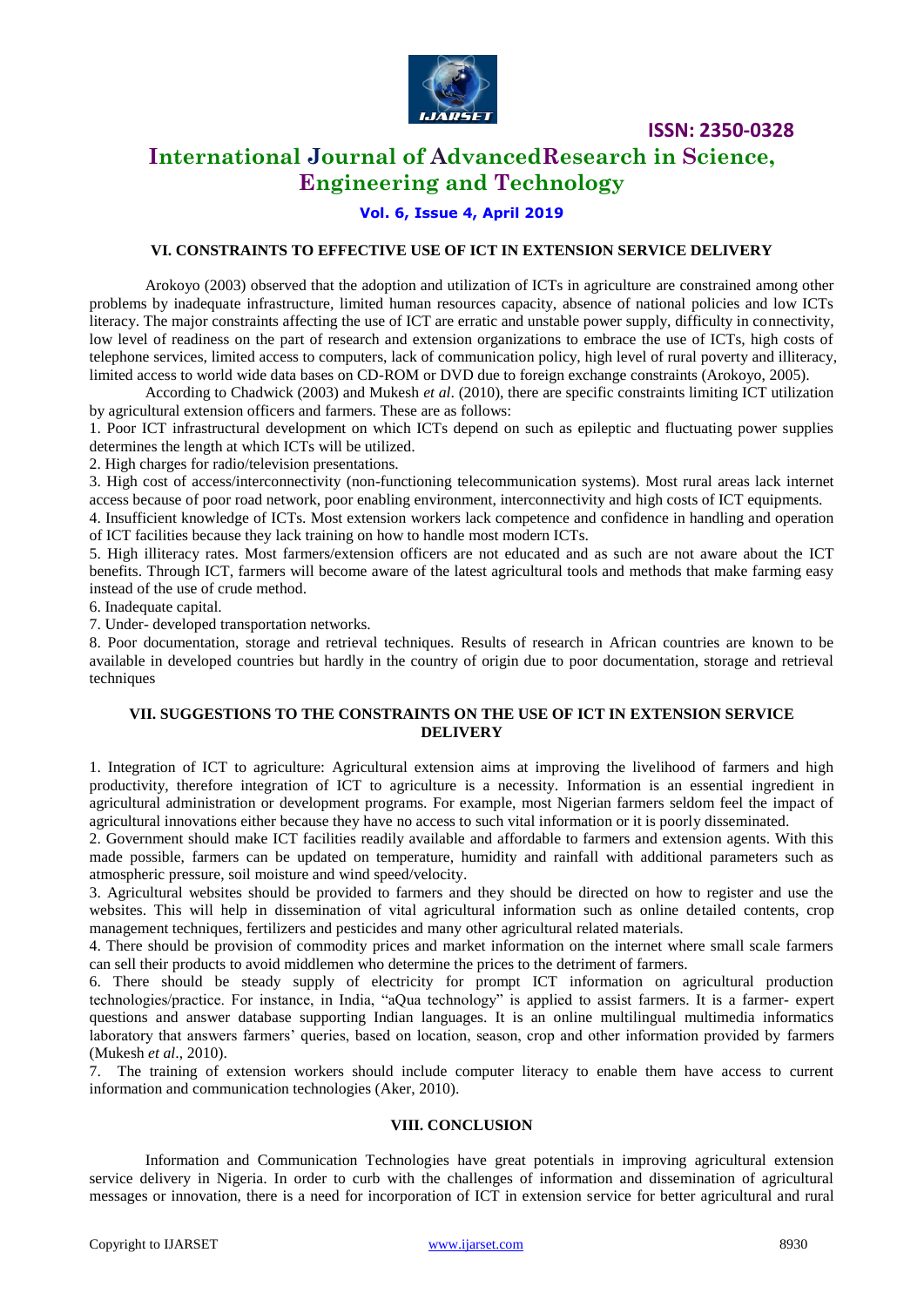

# **International Journal of AdvancedResearch in Science, Engineering and Technology**

## **Vol. 6, Issue 4, April 2019**

### **VI. CONSTRAINTS TO EFFECTIVE USE OF ICT IN EXTENSION SERVICE DELIVERY**

Arokoyo (2003) observed that the adoption and utilization of ICTs in agriculture are constrained among other problems by inadequate infrastructure, limited human resources capacity, absence of national policies and low ICTs literacy. The major constraints affecting the use of ICT are erratic and unstable power supply, difficulty in connectivity, low level of readiness on the part of research and extension organizations to embrace the use of ICTs, high costs of telephone services, limited access to computers, lack of communication policy, high level of rural poverty and illiteracy, limited access to world wide data bases on CD-ROM or DVD due to foreign exchange constraints (Arokoyo, 2005).

According to Chadwick (2003) and Mukesh *et al*. (2010), there are specific constraints limiting ICT utilization by agricultural extension officers and farmers. These are as follows:

1. Poor ICT infrastructural development on which ICTs depend on such as epileptic and fluctuating power supplies determines the length at which ICTs will be utilized.

2. High charges for radio/television presentations.

3. High cost of access/interconnectivity (non-functioning telecommunication systems). Most rural areas lack internet access because of poor road network, poor enabling environment, interconnectivity and high costs of ICT equipments.

4. Insufficient knowledge of ICTs. Most extension workers lack competence and confidence in handling and operation of ICT facilities because they lack training on how to handle most modern ICTs.

5. High illiteracy rates. Most farmers/extension officers are not educated and as such are not aware about the ICT benefits. Through ICT, farmers will become aware of the latest agricultural tools and methods that make farming easy instead of the use of crude method.

6. Inadequate capital.

7. Under- developed transportation networks.

8. Poor documentation, storage and retrieval techniques. Results of research in African countries are known to be available in developed countries but hardly in the country of origin due to poor documentation, storage and retrieval techniques

#### **VII. SUGGESTIONS TO THE CONSTRAINTS ON THE USE OF ICT IN EXTENSION SERVICE DELIVERY**

1. Integration of ICT to agriculture: Agricultural extension aims at improving the livelihood of farmers and high productivity, therefore integration of ICT to agriculture is a necessity. Information is an essential ingredient in agricultural administration or development programs. For example, most Nigerian farmers seldom feel the impact of agricultural innovations either because they have no access to such vital information or it is poorly disseminated.

2. Government should make ICT facilities readily available and affordable to farmers and extension agents. With this made possible, farmers can be updated on temperature, humidity and rainfall with additional parameters such as atmospheric pressure, soil moisture and wind speed/velocity.

3. Agricultural websites should be provided to farmers and they should be directed on how to register and use the websites. This will help in dissemination of vital agricultural information such as online detailed contents, crop management techniques, fertilizers and pesticides and many other agricultural related materials.

4. There should be provision of commodity prices and market information on the internet where small scale farmers can sell their products to avoid middlemen who determine the prices to the detriment of farmers.

6. There should be steady supply of electricity for prompt ICT information on agricultural production technologies/practice. For instance, in India, "aQua technology" is applied to assist farmers. It is a farmer- expert questions and answer database supporting Indian languages. It is an online multilingual multimedia informatics laboratory that answers farmers' queries, based on location, season, crop and other information provided by farmers (Mukesh *et al*., 2010).

7. The training of extension workers should include computer literacy to enable them have access to current information and communication technologies (Aker, 2010).

#### **VIII. CONCLUSION**

Information and Communication Technologies have great potentials in improving agricultural extension service delivery in Nigeria. In order to curb with the challenges of information and dissemination of agricultural messages or innovation, there is a need for incorporation of ICT in extension service for better agricultural and rural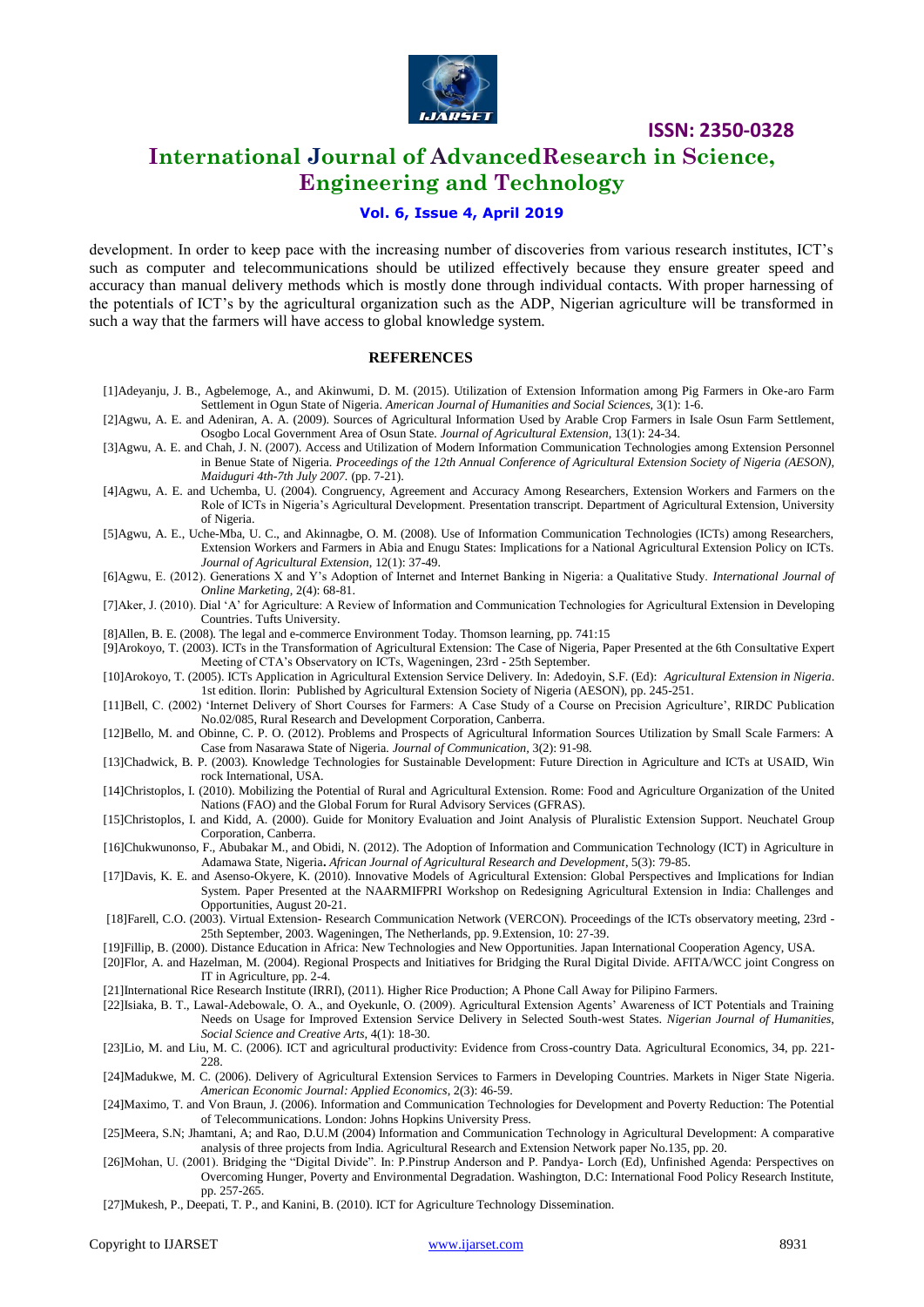

# **International Journal of AdvancedResearch in Science, Engineering and Technology**

### **Vol. 6, Issue 4, April 2019**

development. In order to keep pace with the increasing number of discoveries from various research institutes, ICT's such as computer and telecommunications should be utilized effectively because they ensure greater speed and accuracy than manual delivery methods which is mostly done through individual contacts. With proper harnessing of the potentials of ICT"s by the agricultural organization such as the ADP, Nigerian agriculture will be transformed in such a way that the farmers will have access to global knowledge system.

#### **REFERENCES**

- [1]Adeyanju, J. B., Agbelemoge, A., and Akinwumi, D. M. (2015). Utilization of Extension Information among Pig Farmers in Oke-aro Farm Settlement in Ogun State of Nigeria. *American Journal of Humanities and Social Sciences,* 3(1): 1-6.
- [2]Agwu, A. E. and Adeniran, A. A. (2009). Sources of Agricultural Information Used by Arable Crop Farmers in Isale Osun Farm Settlement, Osogbo Local Government Area of Osun State*. Journal of Agricultural Extension,* 13(1): 24-34.
- [3]Agwu, A. E. and Chah, J. N. (2007). Access and Utilization of Modern Information Communication Technologies among Extension Personnel in Benue State of Nigeria. *Proceedings of the 12th Annual Conference of Agricultural Extension Society of Nigeria (AESON), Maiduguri 4th-7th July 2007.* (pp. 7-21).
- [4]Agwu, A. E. and Uchemba, U. (2004). Congruency, Agreement and Accuracy Among Researchers, Extension Workers and Farmers on the Role of ICTs in Nigeria"s Agricultural Development. Presentation transcript. Department of Agricultural Extension, University of Nigeria.
- [5]Agwu, A. E., Uche-Mba, U. C., and Akinnagbe, O. M. (2008). Use of Information Communication Technologies (ICTs) among Researchers, Extension Workers and Farmers in Abia and Enugu States: Implications for a National Agricultural Extension Policy on ICTs*. Journal of Agricultural Extension*, 12(1): 37-49.
- [6]Agwu, E. (2012). Generations X and Y"s Adoption of Internet and Internet Banking in Nigeria: a Qualitative Study. *International Journal of Online Marketing,* 2(4): 68-81.
- [7]Aker, J. (2010). Dial "A" for Agriculture: A Review of Information and Communication Technologies for Agricultural Extension in Developing Countries. Tufts University.
- [8]Allen, B. E. (2008). The legal and e-commerce Environment Today. Thomson learning, pp. 741:15

[9]Arokoyo, T. (2003). ICTs in the Transformation of Agricultural Extension: The Case of Nigeria, Paper Presented at the 6th Consultative Expert Meeting of CTA"s Observatory on ICTs, Wageningen, 23rd - 25th September.

- [10]Arokoyo, T. (2005). ICTs Application in Agricultural Extension Service Delivery. In: Adedoyin, S.F. (Ed): *Agricultural Extension in Nigeria*. 1st edition. Ilorin: Published by Agricultural Extension Society of Nigeria (AESON), pp. 245-251.
- [11]Bell, C. (2002) "Internet Delivery of Short Courses for Farmers: A Case Study of a Course on Precision Agriculture", RIRDC Publication No.02/085, Rural Research and Development Corporation, Canberra.
- [12]Bello, M. and Obinne, C. P. O. (2012). Problems and Prospects of Agricultural Information Sources Utilization by Small Scale Farmers: A Case from Nasarawa State of Nigeria*. Journal of Communication,* 3(2): 91-98.
- [13]Chadwick, B. P. (2003). Knowledge Technologies for Sustainable Development: Future Direction in Agriculture and ICTs at USAID, Win rock International, USA.
- [14]Christoplos, I. (2010). Mobilizing the Potential of Rural and Agricultural Extension. Rome: Food and Agriculture Organization of the United Nations (FAO) and the Global Forum for Rural Advisory Services (GFRAS).
- [15]Christoplos, I. and Kidd, A. (2000). Guide for Monitory Evaluation and Joint Analysis of Pluralistic Extension Support. Neuchatel Group Corporation, Canberra.
- [16]Chukwunonso, F., Abubakar M., and Obidi, N. (2012). The Adoption of Information and Communication Technology (ICT) in Agriculture in Adamawa State, Nigeria**.** *African Journal of Agricultural Research and Development*, 5(3): 79-85.
- [17]Davis, K. E. and Asenso-Okyere, K. (2010). Innovative Models of Agricultural Extension: Global Perspectives and Implications for Indian System. Paper Presented at the NAARMIFPRI Workshop on Redesigning Agricultural Extension in India: Challenges and Opportunities, August 20-21.
- [18]Farell, C.O. (2003). Virtual Extension- Research Communication Network (VERCON). Proceedings of the ICTs observatory meeting, 23rd 25th September, 2003. Wageningen, The Netherlands, pp. 9.Extension, 10: 27-39.
- [19]Fillip, B. (2000). Distance Education in Africa: New Technologies and New Opportunities. Japan International Cooperation Agency, USA.
- [20]Flor, A. and Hazelman, M. (2004). Regional Prospects and Initiatives for Bridging the Rural Digital Divide. AFITA/WCC joint Congress on IT in Agriculture, pp. 2-4.
- [21]International Rice Research Institute (IRRI), (2011). Higher Rice Production; A Phone Call Away for Pilipino Farmers.
- [22]Isiaka, B. T., Lawal-Adebowale, O. A., and Oyekunle, O. (2009). Agricultural Extension Agents" Awareness of ICT Potentials and Training Needs on Usage for Improved Extension Service Delivery in Selected South-west States. *Nigerian Journal of Humanities, Social Science and Creative Arts,* 4(1): 18-30.
- [23]Lio, M. and Liu, M. C. (2006). ICT and agricultural productivity: Evidence from Cross-country Data. Agricultural Economics, 34, pp. 221- 228.
- [24]Madukwe, M. C. (2006). Delivery of Agricultural Extension Services to Farmers in Developing Countries. Markets in Niger State Nigeria. *American Economic Journal: Applied Economics*, 2(3): 46-59.
- [24]Maximo, T. and Von Braun, J. (2006). Information and Communication Technologies for Development and Poverty Reduction: The Potential of Telecommunications. London: Johns Hopkins University Press.
- [25]Meera, S.N; Jhamtani, A; and Rao, D.U.M (2004) Information and Communication Technology in Agricultural Development: A comparative analysis of three projects from India. Agricultural Research and Extension Network paper No.135, pp. 20.
- [26]Mohan, U. (2001). Bridging the "Digital Divide". In: P.Pinstrup Anderson and P. Pandya- Lorch (Ed), Unfinished Agenda: Perspectives on Overcoming Hunger, Poverty and Environmental Degradation. Washington, D.C: International Food Policy Research Institute, pp. 257-265.
- [27]Mukesh, P., Deepati, T. P., and Kanini, B. (2010). ICT for Agriculture Technology Dissemination.